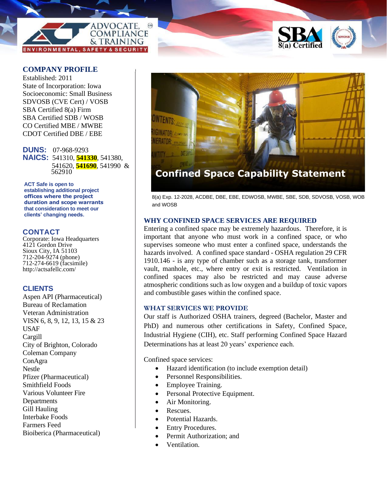



# **COMPANY PROFILE**

Established: 2011 State of Incorporation: Iowa Socioeconomic: Small Business SDVOSB (CVE Cert) / VOSB SBA Certified 8(a) Firm SBA Certified SDB / WOSB CO Certified MBE / MWBE CDOT Certified DBE / EBE

**DUNS:** 07-968-9293 **NAICS:** 541310, **541330**, 541380, 541620, **541690**, 541990 & 562910

ACT Safe is open to **establishing additional project offices where the project duration and scope warrants that consideration to meet our clients' changing needs.**

#### **CONTACT**

Corporate: Iowa Headquarters 4121 Gordon Drive Sioux City, IA 51103 712-204-9274 (phone) 712-274-6619 (facsimile) http://actsafellc.com/

# **CLIENTS**

Aspen API (Pharmaceutical) Bureau of Reclamation Veteran Administration VISN 6, 8, 9, 12, 13, 15 & 23 USAF Cargill City of Brighton, Colorado Coleman Company ConAgra Nestle Pfizer (Pharmaceutical) Smithfield Foods Various Volunteer Fire **Departments** Gill Hauling Interbake Foods Farmers Feed Bioiberica (Pharmaceutical)



8(a) Exp. 12-2028, ACDBE, DBE, EBE, EDWOSB, MWBE, SBE, SDB, SDVOSB, VOSB, WOB and WOSB

### **WHY CONFINED SPACE SERVICES ARE REQUIRED**

Entering a confined space may be extremely hazardous. Therefore, it is important that anyone who must work in a confined space, or who supervises someone who must enter a confined space, understands the hazards involved. A confined space standard - OSHA regulation 29 CFR 1910.146 - is any type of chamber such as a storage tank, transformer vault, manhole, etc., where entry or exit is restricted. Ventilation in confined spaces may also be restricted and may cause adverse atmospheric conditions such as low oxygen and a buildup of toxic vapors and combustible gases within the confined space.

### **WHAT SERVICES WE PROVIDE**

Our staff is Authorized OSHA trainers, degreed (Bachelor, Master and PhD) and numerous other certifications in Safety, Confined Space, Industrial Hygiene (CIH), etc. Staff performing Confined Space Hazard Determinations has at least 20 years' experience each.

Confined space services:

- Hazard identification (to include exemption detail)
- Personnel Responsibilities.
- Employee Training.
- Personal Protective Equipment.
- Air Monitoring.
- Rescues.
- Potential Hazards.
- **Entry Procedures.**
- Permit Authorization; and
- Ventilation.